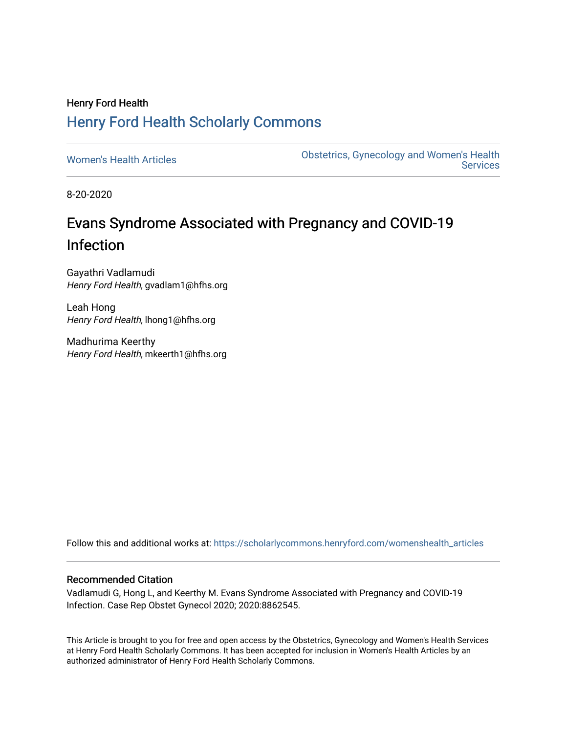# Henry Ford Health [Henry Ford Health Scholarly Commons](https://scholarlycommons.henryford.com/)

[Women's Health Articles](https://scholarlycommons.henryford.com/womenshealth_articles) **Constructed Articles** Obstetrics, Gynecology and Women's Health [Services](https://scholarlycommons.henryford.com/womenshealth) 

8-20-2020

# Evans Syndrome Associated with Pregnancy and COVID-19 Infection

Gayathri Vadlamudi Henry Ford Health, gvadlam1@hfhs.org

Leah Hong Henry Ford Health, lhong1@hfhs.org

Madhurima Keerthy Henry Ford Health, mkeerth1@hfhs.org

Follow this and additional works at: [https://scholarlycommons.henryford.com/womenshealth\\_articles](https://scholarlycommons.henryford.com/womenshealth_articles?utm_source=scholarlycommons.henryford.com%2Fwomenshealth_articles%2F98&utm_medium=PDF&utm_campaign=PDFCoverPages) 

## Recommended Citation

Vadlamudi G, Hong L, and Keerthy M. Evans Syndrome Associated with Pregnancy and COVID-19 Infection. Case Rep Obstet Gynecol 2020; 2020:8862545.

This Article is brought to you for free and open access by the Obstetrics, Gynecology and Women's Health Services at Henry Ford Health Scholarly Commons. It has been accepted for inclusion in Women's Health Articles by an authorized administrator of Henry Ford Health Scholarly Commons.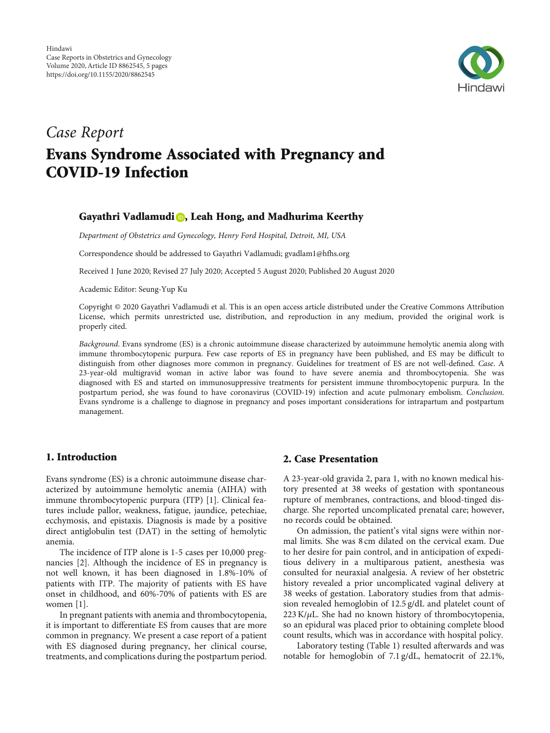

# Case Report Evans Syndrome Associated with Pregnancy and COVID-19 Infection

## Gayathri Vadlamudi **D**[,](https://orcid.org/0000-0002-8387-9457) Leah Hong, and Madhurima Keerthy

Department of Obstetrics and Gynecology, Henry Ford Hospital, Detroit, MI, USA

Correspondence should be addressed to Gayathri Vadlamudi; gvadlam1@hfhs.org

Received 1 June 2020; Revised 27 July 2020; Accepted 5 August 2020; Published 20 August 2020

Academic Editor: Seung-Yup Ku

Copyright © 2020 Gayathri Vadlamudi et al. This is an open access article distributed under the [Creative Commons Attribution](https://creativecommons.org/licenses/by/4.0/) [License,](https://creativecommons.org/licenses/by/4.0/) which permits unrestricted use, distribution, and reproduction in any medium, provided the original work is properly cited.

Background. Evans syndrome (ES) is a chronic autoimmune disease characterized by autoimmune hemolytic anemia along with immune thrombocytopenic purpura. Few case reports of ES in pregnancy have been published, and ES may be difficult to distinguish from other diagnoses more common in pregnancy. Guidelines for treatment of ES are not well-defined. Case. A 23-year-old multigravid woman in active labor was found to have severe anemia and thrombocytopenia. She was diagnosed with ES and started on immunosuppressive treatments for persistent immune thrombocytopenic purpura. In the postpartum period, she was found to have coronavirus (COVID-19) infection and acute pulmonary embolism. Conclusion. Evans syndrome is a challenge to diagnose in pregnancy and poses important considerations for intrapartum and postpartum management.

#### 1. Introduction

Evans syndrome (ES) is a chronic autoimmune disease characterized by autoimmune hemolytic anemia (AIHA) with immune thrombocytopenic purpura (ITP) [\[1](#page-5-0)]. Clinical features include pallor, weakness, fatigue, jaundice, petechiae, ecchymosis, and epistaxis. Diagnosis is made by a positive direct antiglobulin test (DAT) in the setting of hemolytic anemia.

The incidence of ITP alone is 1-5 cases per 10,000 pregnancies [\[2\]](#page-5-0). Although the incidence of ES in pregnancy is not well known, it has been diagnosed in 1.8%-10% of patients with ITP. The majority of patients with ES have onset in childhood, and 60%-70% of patients with ES are women [[1](#page-5-0)].

In pregnant patients with anemia and thrombocytopenia, it is important to differentiate ES from causes that are more common in pregnancy. We present a case report of a patient with ES diagnosed during pregnancy, her clinical course, treatments, and complications during the postpartum period.

#### 2. Case Presentation

A 23-year-old gravida 2, para 1, with no known medical history presented at 38 weeks of gestation with spontaneous rupture of membranes, contractions, and blood-tinged discharge. She reported uncomplicated prenatal care; however, no records could be obtained.

On admission, the patient's vital signs were within normal limits. She was 8 cm dilated on the cervical exam. Due to her desire for pain control, and in anticipation of expeditious delivery in a multiparous patient, anesthesia was consulted for neuraxial analgesia. A review of her obstetric history revealed a prior uncomplicated vaginal delivery at 38 weeks of gestation. Laboratory studies from that admission revealed hemoglobin of 12.5 g/dL and platelet count of 223 K/*μ*L. She had no known history of thrombocytopenia, so an epidural was placed prior to obtaining complete blood count results, which was in accordance with hospital policy.

Laboratory testing (Table [1\)](#page-2-0) resulted afterwards and was notable for hemoglobin of 7.1 g/dL, hematocrit of 22.1%,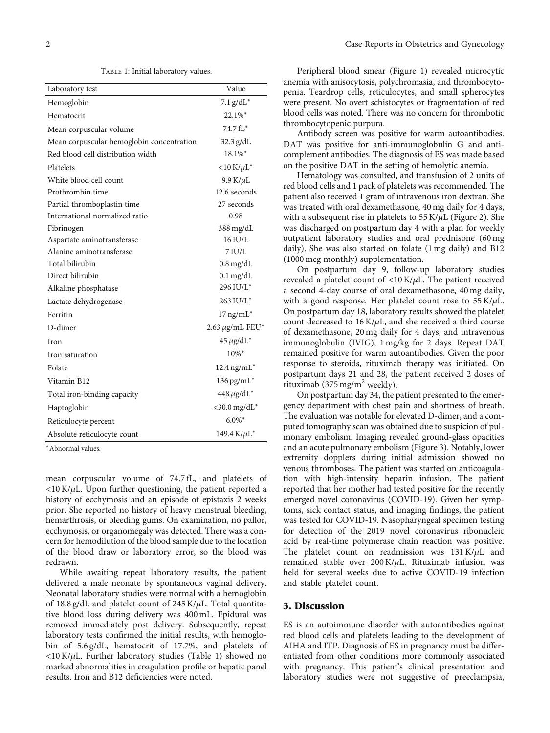TABLE 1: Initial laboratory values.

<span id="page-2-0"></span>

| Laboratory test                           | Value                          |
|-------------------------------------------|--------------------------------|
| Hemoglobin                                | $7.1$ g/dL <sup>*</sup>        |
| Hematocrit                                | 22.1%*                         |
| Mean corpuscular volume                   | $74.7 fL$ *                    |
| Mean corpuscular hemoglobin concentration | 32.3 g/dL                      |
| Red blood cell distribution width         | 18.1%*                         |
| Platelets                                 | $<$ 10 K/ $\mu$ L <sup>*</sup> |
| White blood cell count                    | $9.9$ K/ $\mu$ L               |
| Prothrombin time                          | 12.6 seconds                   |
| Partial thromboplastin time               | 27 seconds                     |
| International normalized ratio            | 0.98                           |
| Fibrinogen                                | $388 \text{ mg/dL}$            |
| Aspartate aminotransferase                | 16 IU/L                        |
| Alanine aminotransferase                  | $7$ IU/L                       |
| Total bilirubin                           | $0.8 \,\mathrm{mg/dL}$         |
| Direct bilirubin                          | $0.1 \text{ mg/dL}$            |
| Alkaline phosphatase                      | 296 IU/L*                      |
| Lactate dehydrogenase                     | 263 IU/L*                      |
| Ferritin                                  | $17$ ng/mL $*$                 |
| D-dimer                                   | $2.63 \mu$ g/mL FEU*           |
| Iron                                      | $45 \mu g/dL^*$                |
| Iron saturation                           | 10%*                           |
| Folate                                    | $12.4$ ng/mL <sup>*</sup>      |
| Vitamin B12                               | $136$ pg/mL <sup>*</sup>       |
| Total iron-binding capacity               | $448 \mu g/dL^*$               |
| Haptoglobin                               | $<$ 30.0 mg/dL $*$             |
| Reticulocyte percent                      | $6.0\%$ <sup>*</sup>           |
| Absolute reticulocyte count               | 149.4 $K/\mu L^*$              |

<sup>∗</sup>Abnormal values.

mean corpuscular volume of 74.7 fL, and platelets of <10 K/*μ*L. Upon further questioning, the patient reported a history of ecchymosis and an episode of epistaxis 2 weeks prior. She reported no history of heavy menstrual bleeding, hemarthrosis, or bleeding gums. On examination, no pallor, ecchymosis, or organomegaly was detected. There was a concern for hemodilution of the blood sample due to the location of the blood draw or laboratory error, so the blood was redrawn.

While awaiting repeat laboratory results, the patient delivered a male neonate by spontaneous vaginal delivery. Neonatal laboratory studies were normal with a hemoglobin of 18.8 g/dL and platelet count of 245 K/*μ*L. Total quantitative blood loss during delivery was 400 mL. Epidural was removed immediately post delivery. Subsequently, repeat laboratory tests confirmed the initial results, with hemoglobin of 5.6 g/dL, hematocrit of 17.7%, and platelets of <10 K/*μ*L. Further laboratory studies (Table 1) showed no marked abnormalities in coagulation profile or hepatic panel results. Iron and B12 deficiencies were noted.

Peripheral blood smear (Figure [1\)](#page-3-0) revealed microcytic anemia with anisocytosis, polychromasia, and thrombocytopenia. Teardrop cells, reticulocytes, and small spherocytes were present. No overt schistocytes or fragmentation of red blood cells was noted. There was no concern for thrombotic thrombocytopenic purpura.

Antibody screen was positive for warm autoantibodies. DAT was positive for anti-immunoglobulin G and anticomplement antibodies. The diagnosis of ES was made based on the positive DAT in the setting of hemolytic anemia.

Hematology was consulted, and transfusion of 2 units of red blood cells and 1 pack of platelets was recommended. The patient also received 1 gram of intravenous iron dextran. She was treated with oral dexamethasone, 40 mg daily for 4 days, with a subsequent rise in platelets to 55 K/*μ*L (Figure [2\)](#page-3-0). She was discharged on postpartum day 4 with a plan for weekly outpatient laboratory studies and oral prednisone (60 mg daily). She was also started on folate (1 mg daily) and B12 (1000 mcg monthly) supplementation.

On postpartum day 9, follow-up laboratory studies revealed a platelet count of <10 K/*μ*L. The patient received a second 4-day course of oral dexamethasone, 40 mg daily, with a good response. Her platelet count rose to 55 K/*μ*L. On postpartum day 18, laboratory results showed the platelet count decreased to 16 K/*μ*L, and she received a third course of dexamethasone, 20 mg daily for 4 days, and intravenous immunoglobulin (IVIG), 1 mg/kg for 2 days. Repeat DAT remained positive for warm autoantibodies. Given the poor response to steroids, rituximab therapy was initiated. On postpartum days 21 and 28, the patient received 2 doses of rituximab (375 mg/m<sup>2</sup> weekly).

On postpartum day 34, the patient presented to the emergency department with chest pain and shortness of breath. The evaluation was notable for elevated D-dimer, and a computed tomography scan was obtained due to suspicion of pulmonary embolism. Imaging revealed ground-glass opacities and an acute pulmonary embolism (Figure [3](#page-4-0)). Notably, lower extremity dopplers during initial admission showed no venous thromboses. The patient was started on anticoagulation with high-intensity heparin infusion. The patient reported that her mother had tested positive for the recently emerged novel coronavirus (COVID-19). Given her symptoms, sick contact status, and imaging findings, the patient was tested for COVID-19. Nasopharyngeal specimen testing for detection of the 2019 novel coronavirus ribonucleic acid by real-time polymerase chain reaction was positive. The platelet count on readmission was 131 K/*μ*L and remained stable over 200 K/*μ*L. Rituximab infusion was held for several weeks due to active COVID-19 infection and stable platelet count.

#### 3. Discussion

ES is an autoimmune disorder with autoantibodies against red blood cells and platelets leading to the development of AIHA and ITP. Diagnosis of ES in pregnancy must be differentiated from other conditions more commonly associated with pregnancy. This patient's clinical presentation and laboratory studies were not suggestive of preeclampsia,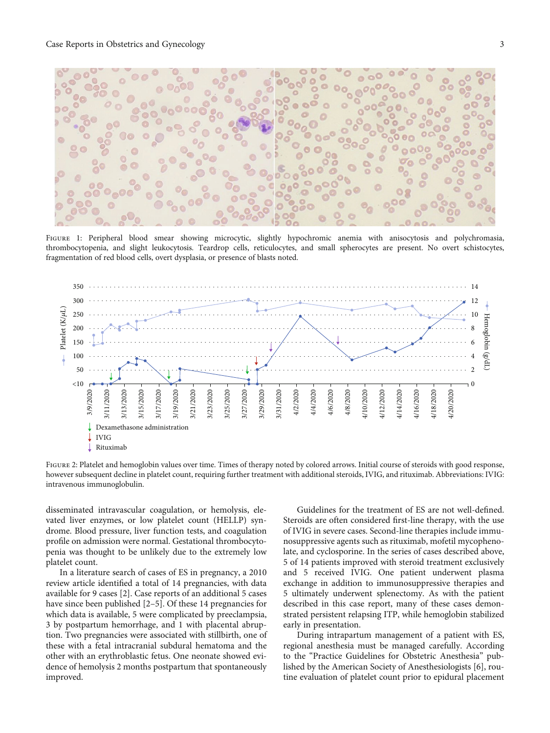<span id="page-3-0"></span>

FIGURE 1: Peripheral blood smear showing microcytic, slightly hypochromic anemia with anisocytosis and polychromasia, thrombocytopenia, and slight leukocytosis. Teardrop cells, reticulocytes, and small spherocytes are present. No overt schistocytes, fragmentation of red blood cells, overt dysplasia, or presence of blasts noted.



FIGURE 2: Platelet and hemoglobin values over time. Times of therapy noted by colored arrows. Initial course of steroids with good response, however subsequent decline in platelet count, requiring further treatment with additional steroids, IVIG, and rituximab. Abbreviations: IVIG: intravenous immunoglobulin.

disseminated intravascular coagulation, or hemolysis, elevated liver enzymes, or low platelet count (HELLP) syndrome. Blood pressure, liver function tests, and coagulation profile on admission were normal. Gestational thrombocytopenia was thought to be unlikely due to the extremely low platelet count.

In a literature search of cases of ES in pregnancy, a 2010 review article identified a total of 14 pregnancies, with data available for 9 cases [[2\]](#page-5-0). Case reports of an additional 5 cases have since been published [\[2](#page-5-0)–[5\]](#page-5-0). Of these 14 pregnancies for which data is available, 5 were complicated by preeclampsia, 3 by postpartum hemorrhage, and 1 with placental abruption. Two pregnancies were associated with stillbirth, one of these with a fetal intracranial subdural hematoma and the other with an erythroblastic fetus. One neonate showed evidence of hemolysis 2 months postpartum that spontaneously improved.

Guidelines for the treatment of ES are not well-defined. Steroids are often considered first-line therapy, with the use of IVIG in severe cases. Second-line therapies include immunosuppressive agents such as rituximab, mofetil mycophenolate, and cyclosporine. In the series of cases described above, 5 of 14 patients improved with steroid treatment exclusively and 5 received IVIG. One patient underwent plasma exchange in addition to immunosuppressive therapies and 5 ultimately underwent splenectomy. As with the patient described in this case report, many of these cases demonstrated persistent relapsing ITP, while hemoglobin stabilized early in presentation.

During intrapartum management of a patient with ES, regional anesthesia must be managed carefully. According to the "Practice Guidelines for Obstetric Anesthesia" published by the American Society of Anesthesiologists [[6\]](#page-5-0), routine evaluation of platelet count prior to epidural placement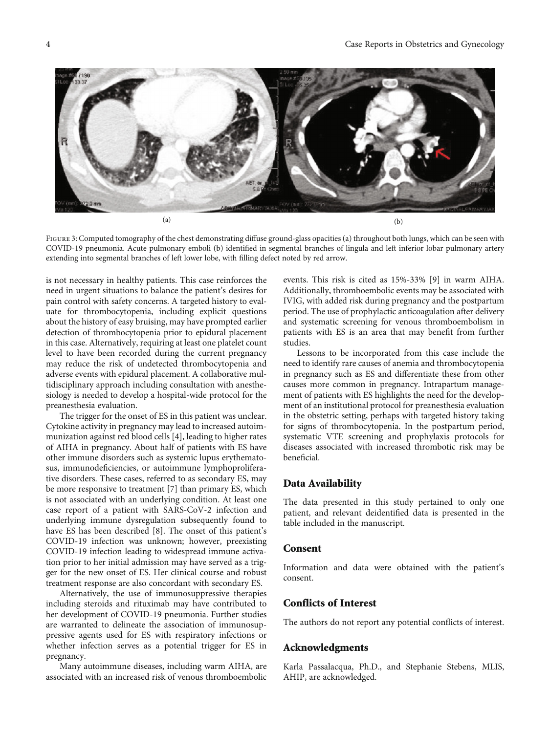<span id="page-4-0"></span>

FIGURE 3: Computed tomography of the chest demonstrating diffuse ground-glass opacities (a) throughout both lungs, which can be seen with COVID-19 pneumonia. Acute pulmonary emboli (b) identified in segmental branches of lingula and left inferior lobar pulmonary artery extending into segmental branches of left lower lobe, with filling defect noted by red arrow.

is not necessary in healthy patients. This case reinforces the need in urgent situations to balance the patient's desires for pain control with safety concerns. A targeted history to evaluate for thrombocytopenia, including explicit questions about the history of easy bruising, may have prompted earlier detection of thrombocytopenia prior to epidural placement in this case. Alternatively, requiring at least one platelet count level to have been recorded during the current pregnancy may reduce the risk of undetected thrombocytopenia and adverse events with epidural placement. A collaborative multidisciplinary approach including consultation with anesthesiology is needed to develop a hospital-wide protocol for the preanesthesia evaluation.

The trigger for the onset of ES in this patient was unclear. Cytokine activity in pregnancy may lead to increased autoimmunization against red blood cells [[4\]](#page-5-0), leading to higher rates of AIHA in pregnancy. About half of patients with ES have other immune disorders such as systemic lupus erythematosus, immunodeficiencies, or autoimmune lymphoproliferative disorders. These cases, referred to as secondary ES, may be more responsive to treatment [\[7](#page-5-0)] than primary ES, which is not associated with an underlying condition. At least one case report of a patient with SARS-CoV-2 infection and underlying immune dysregulation subsequently found to have ES has been described [[8\]](#page-5-0). The onset of this patient's COVID-19 infection was unknown; however, preexisting COVID-19 infection leading to widespread immune activation prior to her initial admission may have served as a trigger for the new onset of ES. Her clinical course and robust treatment response are also concordant with secondary ES.

Alternatively, the use of immunosuppressive therapies including steroids and rituximab may have contributed to her development of COVID-19 pneumonia. Further studies are warranted to delineate the association of immunosuppressive agents used for ES with respiratory infections or whether infection serves as a potential trigger for ES in pregnancy.

Many autoimmune diseases, including warm AIHA, are associated with an increased risk of venous thromboembolic events. This risk is cited as 15%-33% [[9\]](#page-5-0) in warm AIHA. Additionally, thromboembolic events may be associated with IVIG, with added risk during pregnancy and the postpartum period. The use of prophylactic anticoagulation after delivery and systematic screening for venous thromboembolism in patients with ES is an area that may benefit from further studies.

Lessons to be incorporated from this case include the need to identify rare causes of anemia and thrombocytopenia in pregnancy such as ES and differentiate these from other causes more common in pregnancy. Intrapartum management of patients with ES highlights the need for the development of an institutional protocol for preanesthesia evaluation in the obstetric setting, perhaps with targeted history taking for signs of thrombocytopenia. In the postpartum period, systematic VTE screening and prophylaxis protocols for diseases associated with increased thrombotic risk may be beneficial.

#### Data Availability

The data presented in this study pertained to only one patient, and relevant deidentified data is presented in the table included in the manuscript.

#### Consent

Information and data were obtained with the patient's consent.

#### Conflicts of Interest

The authors do not report any potential conflicts of interest.

#### Acknowledgments

Karla Passalacqua, Ph.D., and Stephanie Stebens, MLIS, AHIP, are acknowledged.